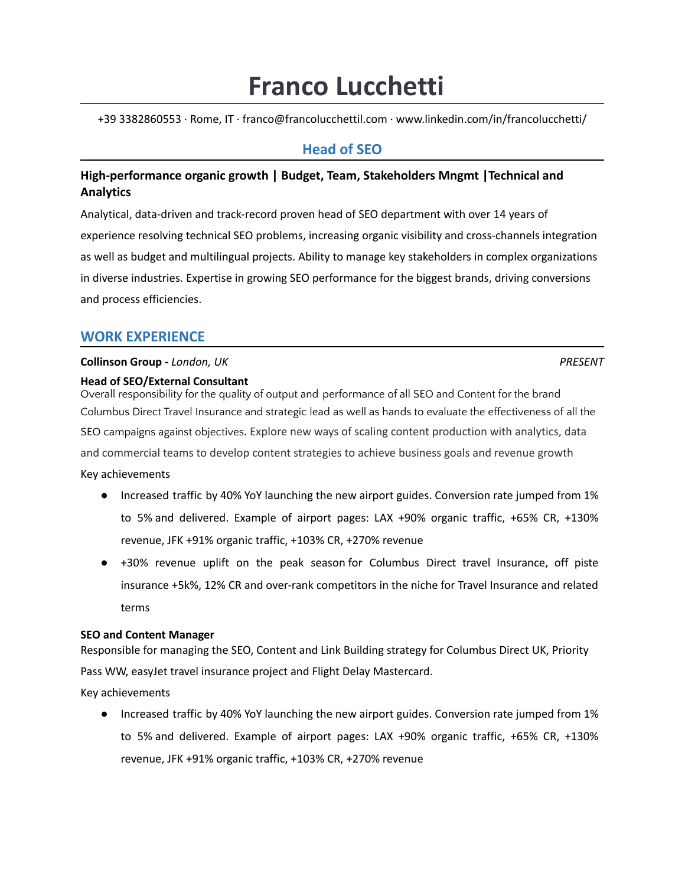# **Franco Lucchetti**

+39 3382860553 ∙ Rome, IT ∙ franco@francolucchettil.com ∙ www.linkedin.com/in/francolucchetti/

# **Head of SEO**

# **High-performance organic growth | Budget, Team, Stakeholders Mngmt |Technical and Analytics**

Analytical, data-driven and track-record proven head of SEO department with over 14 years of experience resolving technical SEO problems, increasing organic visibility and cross-channels integration as well as budget and multilingual projects. Ability to manage key stakeholders in complex organizations in diverse industries. Expertise in growing SEO performance for the biggest brands, driving conversions and process efficiencies.

# **WORK EXPERIENCE**

# **Collinson Group -** *London, UK PRESENT*

# **Head of SEO/External Consultant**

Overall responsibility for the quality of output and performance of all SEO and Content for the brand Columbus Direct Travel Insurance and strategic lead as well as hands to evaluate the effectiveness of all the SEO campaigns against objectives. Explore new ways of scaling content production with analytics, data and commercial teams to develop content strategies to achieve business goals and revenue growth

Key achievements

- Increased traffic by 40% YoY launching the new airport guides. Conversion rate jumped from 1% to 5% and delivered. Example of airport pages: LAX +90% organic traffic, +65% CR, +130% revenue, JFK +91% organic traffic, +103% CR, +270% revenue
- +30% revenue uplift on the peak season for Columbus Direct travel Insurance, off piste insurance +5k%, 12% CR and over-rank competitors in the niche for Travel Insurance and related terms

# **SEO and Content Manager**

Responsible for managing the SEO, Content and Link Building strategy for Columbus Direct UK, Priority Pass WW, easyJet travel insurance project and Flight Delay Mastercard.

Key achievements

● Increased traffic by 40% YoY launching the new airport guides. Conversion rate jumped from 1% to 5% and delivered. Example of airport pages: LAX +90% organic traffic, +65% CR, +130% revenue, JFK +91% organic traffic, +103% CR, +270% revenue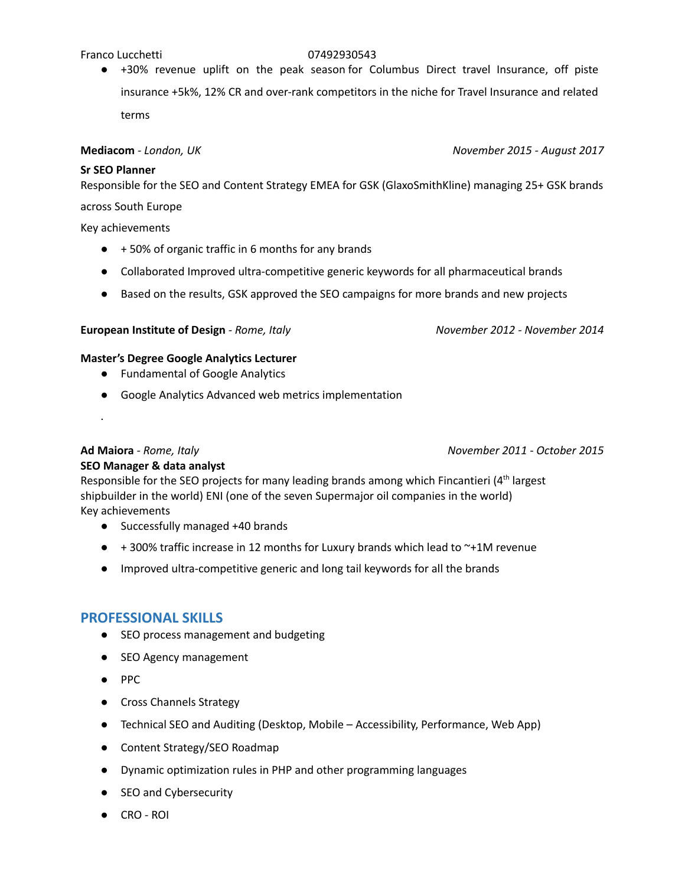#### Franco Lucchetti 07492930543

● +30% revenue uplift on the peak season for Columbus Direct travel Insurance, off piste insurance +5k%, 12% CR and over-rank competitors in the niche for Travel Insurance and related terms

#### **Mediacom** *- London, UK November 2015 - August 2017*

#### **Sr SEO Planner**

Responsible for the SEO and Content Strategy EMEA for GSK (GlaxoSmithKline) managing 25+ GSK brands

#### across South Europe

Key achievements

- +50% of organic traffic in 6 months for any brands
- Collaborated Improved ultra-competitive generic keywords for all pharmaceutical brands
- Based on the results, GSK approved the SEO campaigns for more brands and new projects

### **European Institute of Design** *- Rome, Italy November 2012 - November 2014*

### **Master's Degree Google Analytics Lecturer**

- Fundamental of Google Analytics
- Google Analytics Advanced web metrics implementation

# **Ad Maiora** *- Rome, Italy November 2011 - October 2015*

.

# **SEO Manager & data analyst**

Responsible for the SEO projects for many leading brands among which Fincantieri (4<sup>th</sup> largest shipbuilder in the world) ENI (one of the seven Supermajor oil companies in the world) Key achievements

- Successfully managed +40 brands
- $\bullet$  + 300% traffic increase in 12 months for Luxury brands which lead to  $\sim$ +1M revenue
- Improved ultra-competitive generic and long tail keywords for all the brands

# **PROFESSIONAL SKILLS**

- SEO process management and budgeting
- SEO Agency management
- PPC
- Cross Channels Strategy
- Technical SEO and Auditing (Desktop, Mobile Accessibility, Performance, Web App)
- Content Strategy/SEO Roadmap
- Dynamic optimization rules in PHP and other programming languages
- SEO and Cybersecurity
- CRO ROI